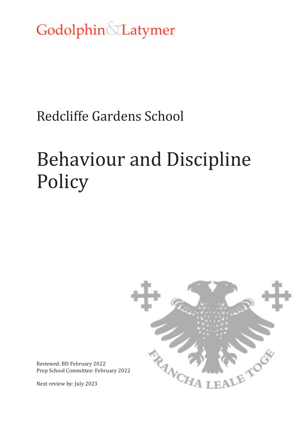Godolphin Latymer

# Redcliffe Gardens School

# Behaviour and Discipline Policy



Reviewed: BD February 2022 Prep School Committee: February 2022

Next review by: July 2023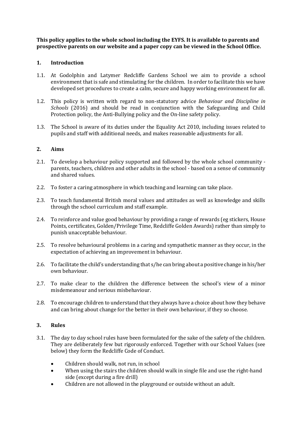**This policy applies to the whole school including the EYFS. It is available to parents and prospective parents on our website and a paper copy can be viewed in the School Office.**

#### **1. Introduction**

- 1.1. At Godolphin and Latymer Redcliffe Gardens School we aim to provide a school environment that is safe and stimulating for the children. In order to facilitate this we have developed set procedures to create a calm, secure and happy working environment for all.
- 1.2. This policy is written with regard to non-statutory advice *Behaviour and Discipline in Schools* (2016) and should be read in conjunction with the Safeguarding and Child Protection policy, the Anti-Bullying policy and the On-line safety policy.
- 1.3. The School is aware of its duties under the Equality Act 2010, including issues related to pupils and staff with additional needs, and makes reasonable adjustments for all.

#### **2. Aims**

- 2.1. To develop a behaviour policy supported and followed by the whole school community parents, teachers, children and other adults in the school - based on a sense of community and shared values.
- 2.2. To foster a caring atmosphere in which teaching and learning can take place.
- 2.3. To teach fundamental British moral values and attitudes as well as knowledge and skills through the school curriculum and staff example.
- 2.4. To reinforce and value good behaviour by providing a range of rewards (eg stickers, House Points, certificates, Golden/Privilege Time, Redcliffe Golden Awards) rather than simply to punish unacceptable behaviour.
- 2.5. To resolve behavioural problems in a caring and sympathetic manner as they occur, in the expectation of achieving an improvement in behaviour.
- 2.6. To facilitate the child's understanding that s/he can bring about a positive change in his/her own behaviour.
- 2.7. To make clear to the children the difference between the school's view of a minor misdemeanour and serious misbehaviour.
- 2.8. To encourage children to understand that they always have a choice about how they behave and can bring about change for the better in their own behaviour, if they so choose.

# **3. Rules**

- 3.1. The day to day school rules have been formulated for the sake of the safety of the children. They are deliberately few but rigorously enforced. Together with our School Values (see below) they form the Redcliffe Code of Conduct.
	- Children should walk, not run, in school
	- When using the stairs the children should walk in single file and use the right-hand side (except during a fire drill)
	- Children are not allowed in the playground or outside without an adult.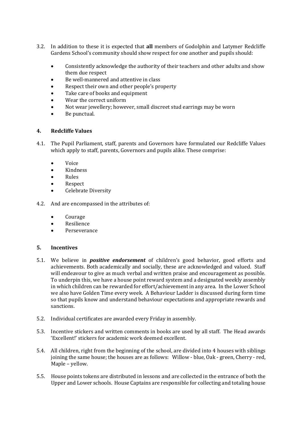- 3.2. In addition to these it is expected that **all** members of Godolphin and Latymer Redcliffe Gardens School's community should show respect for one another and pupils should:
	- Consistently acknowledge the authority of their teachers and other adults and show them due respect
	- Be well-mannered and attentive in class
	- Respect their own and other people's property
	- Take care of books and equipment
	- Wear the correct uniform
	- Not wear jewellery; however, small discreet stud earrings may be worn
	- Be punctual.

# **4. Redcliffe Values**

- 4.1. The Pupil Parliament, staff, parents and Governors have formulated our Redcliffe Values which apply to staff, parents, Governors and pupils alike. These comprise:
	- Voice
	- Kindness
	- Rules
	- Respect
	- Celebrate Diversity
- 4.2. And are encompassed in the attributes of:
	- Courage
	- Resilience
	- Perseverance

#### **5. Incentives**

- 5.1. We believe in *positive endorsement* of children's good behavior, good efforts and achievements. Both academically and socially, these are acknowledged and valued. Staff will endeavour to give as much verbal and written praise and encouragement as possible. To underpin this, we have a house point reward system and a designated weekly assembly in which children can be rewarded for effort/achievement in any area. In the Lower School we also have Golden Time every week. A Behaviour Ladder is discussed during form time so that pupils know and understand behaviour expectations and appropriate rewards and sanctions.
- 5.2. Individual certificates are awarded every Friday in assembly.
- 5.3. Incentive stickers and written comments in books are used by all staff. The Head awards 'Excellent!' stickers for academic work deemed excellent.
- 5.4. All children, right from the beginning of the school, are divided into 4 houses with siblings joining the same house; the houses are as follows: Willow - blue, Oak - green, Cherry - red, Maple – yellow.
- 5.5. House points tokens are distributed in lessons and are collected in the entrance of both the Upper and Lower schools. House Captains are responsible for collecting and totaling house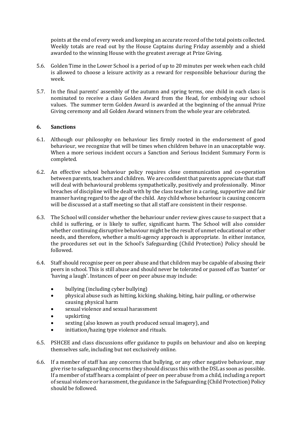points at the end of every week and keeping an accurate record of the total points collected. Weekly totals are read out by the House Captains during Friday assembly and a shield awarded to the winning House with the greatest average at Prize Giving.

- 5.6. Golden Time in the Lower School is a period of up to 20 minutes per week when each child is allowed to choose a leisure activity as a reward for responsible behaviour during the week.
- 5.7. In the final parents' assembly of the autumn and spring terms, one child in each class is nominated to receive a class Golden Award from the Head, for embodying our school values. The summer term Golden Award is awarded at the beginning of the annual Prize Giving ceremony and all Golden Award winners from the whole year are celebrated.

#### **6. Sanctions**

- 6.1. Although our philosophy on behaviour lies firmly rooted in the endorsement of good behaviour, we recognize that will be times when children behave in an unacceptable way. When a more serious incident occurs a Sanction and Serious Incident Summary Form is completed.
- 6.2. An effective school behaviour policy requires close communication and co-operation between parents, teachers and children. We are confident that parents appreciate that staff will deal with behavioural problems sympathetically, positively and professionally. Minor breaches of discipline will be dealt with by the class teacher in a caring, supportive and fair manner having regard to the age of the child. Any child whose behaviour is causing concern will be discussed at a staff meeting so that all staff are consistent in their response.
- 6.3. The School will consider whether the behaviour under review gives cause to suspect that a child is suffering, or is likely to suffer, significant harm. The School will also consider whether continuing disruptive behaviour might be the result of unmet educational or other needs, and therefore, whether a multi-agency approach is appropriate. In either instance, the procedures set out in the School's Safeguarding (Child Protection) Policy should be followed.
- 6.4. Staff should recognise peer on peer abuse and that children may be capable of abusing their peers in school. This is still abuse and should never be tolerated or passed off as 'banter' or 'having a laugh'. Instances of peer on peer abuse may include:
	- bullying (including cyber bullying)
	- physical abuse such as hitting, kicking, shaking, biting, hair pulling, or otherwise causing physical harm
	- sexual violence and sexual harassment
	- upskirting
	- sexting (also known as youth produced sexual imagery), and
	- initiation/hazing type violence and rituals.
- 6.5. PSHCEE and class discussions offer guidance to pupils on behaviour and also on keeping themselves safe, including but not exclusively online.
- 6.6. If a member of staff has any concerns that bullying, or any other negative behaviour, may give rise to safeguarding concerns they should discuss this with the DSL as soon as possible. If a member of staff hears a complaint of peer on peer abuse from a child, including a report of sexual violence or harassment, the guidance in the Safeguarding (Child Protection) Policy should be followed.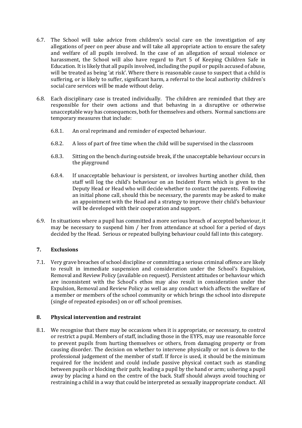- 6.7. The School will take advice from children's social care on the investigation of any allegations of peer on peer abuse and will take all appropriate action to ensure the safety and welfare of all pupils involved. In the case of an allegation of sexual violence or harassment, the School will also have regard to Part 5 of Keeping Children Safe in Education. It is likely that all pupils involved, including the pupil or pupils accused of abuse, will be treated as being 'at risk'. Where there is reasonable cause to suspect that a child is suffering, or is likely to suffer, significant harm, a referral to the local authority children's social care services will be made without delay.
- 6.8. Each disciplinary case is treated individually. The children are reminded that they are responsible for their own actions and that behaving in a disruptive or otherwise unacceptable way has consequences, both for themselves and others. Normal sanctions are temporary measures that include:
	- 6.8.1. An oral reprimand and reminder of expected behaviour.
	- 6.8.2. A loss of part of free time when the child will be supervised in the classroom
	- 6.8.3. Sitting on the bench during outside break, if the unacceptable behaviour occurs in the playground
	- 6.8.4. If unacceptable behaviour is persistent, or involves hurting another child, then staff will log the child's behaviour on an Incident Form which is given to the Deputy Head or Head who will decide whether to contact the parents. Following an initial phone call, should this be necessary, the parents may be asked to make an appointment with the Head and a strategy to improve their child's behaviour will be developed with their cooperation and support.
- 6.9. In situations where a pupil has committed a more serious breach of accepted behaviour, it may be necessary to suspend him / her from attendance at school for a period of days decided by the Head. Serious or repeated bullying behaviour could fall into this category.

# **7. Exclusions**

7.1. Very grave breaches of school discipline or committing a serious criminal offence are likely to result in immediate suspension and consideration under the School's Expulsion, Removal and Review Policy (available on request). Persistent attitudes or behaviour which are inconsistent with the School's ethos may also result in consideration under the Expulsion, Removal and Review Policy as well as any conduct which affects the welfare of a member or members of the school community or which brings the school into disrepute (single of repeated episodes) on or off school premises.

#### **8. Physical intervention and restraint**

8.1. We recognise that there may be occasions when it is appropriate, or necessary, to control or restrict a pupil. Members of staff, including those in the EYFS, may use reasonable force to prevent pupils from hurting themselves or others, from damaging property or from causing disorder. The decision on whether to intervene physically or not is down to the professional judgement of the member of staff. If force is used, it should be the minimum required for the incident and could include passive physical contact such as standing between pupils or blocking their path; leading a pupil by the hand or arm; ushering a pupil away by placing a hand on the centre of the back. Staff should always avoid touching or restraining a child in a way that could be interpreted as sexually inappropriate conduct. All